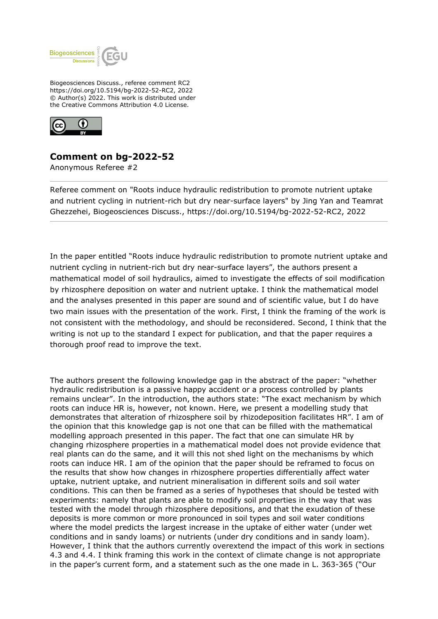

Biogeosciences Discuss., referee comment RC2 https://doi.org/10.5194/bg-2022-52-RC2, 2022 © Author(s) 2022. This work is distributed under the Creative Commons Attribution 4.0 License.



## **Comment on bg-2022-52**

Anonymous Referee #2

Referee comment on "Roots induce hydraulic redistribution to promote nutrient uptake and nutrient cycling in nutrient-rich but dry near-surface layers" by Jing Yan and Teamrat Ghezzehei, Biogeosciences Discuss., https://doi.org/10.5194/bg-2022-52-RC2, 2022

In the paper entitled "Roots induce hydraulic redistribution to promote nutrient uptake and nutrient cycling in nutrient-rich but dry near-surface layers", the authors present a mathematical model of soil hydraulics, aimed to investigate the effects of soil modification by rhizosphere deposition on water and nutrient uptake. I think the mathematical model and the analyses presented in this paper are sound and of scientific value, but I do have two main issues with the presentation of the work. First, I think the framing of the work is not consistent with the methodology, and should be reconsidered. Second, I think that the writing is not up to the standard I expect for publication, and that the paper requires a thorough proof read to improve the text.

The authors present the following knowledge gap in the abstract of the paper: "whether hydraulic redistribution is a passive happy accident or a process controlled by plants remains unclear". In the introduction, the authors state: "The exact mechanism by which roots can induce HR is, however, not known. Here, we present a modelling study that demonstrates that alteration of rhizosphere soil by rhizodeposition facilitates HR". I am of the opinion that this knowledge gap is not one that can be filled with the mathematical modelling approach presented in this paper. The fact that one can simulate HR by changing rhizosphere properties in a mathematical model does not provide evidence that real plants can do the same, and it will this not shed light on the mechanisms by which roots can induce HR. I am of the opinion that the paper should be reframed to focus on the results that show how changes in rhizosphere properties differentially affect water uptake, nutrient uptake, and nutrient mineralisation in different soils and soil water conditions. This can then be framed as a series of hypotheses that should be tested with experiments: namely that plants are able to modify soil properties in the way that was tested with the model through rhizosphere depositions, and that the exudation of these deposits is more common or more pronounced in soil types and soil water conditions where the model predicts the largest increase in the uptake of either water (under wet conditions and in sandy loams) or nutrients (under dry conditions and in sandy loam). However, I think that the authors currently overextend the impact of this work in sections 4.3 and 4.4. I think framing this work in the context of climate change is not appropriate in the paper's current form, and a statement such as the one made in L. 363-365 ("Our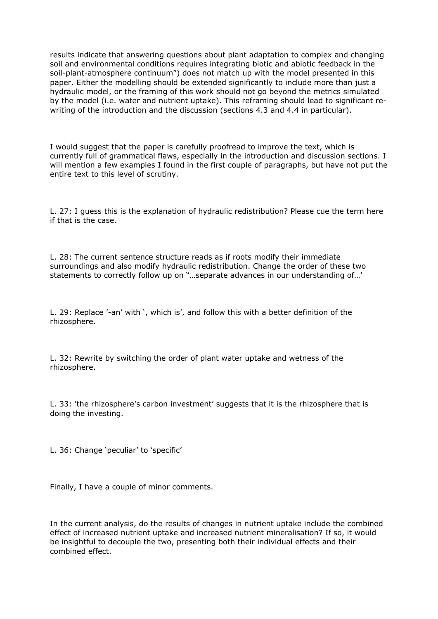results indicate that answering questions about plant adaptation to complex and changing soil and environmental conditions requires integrating biotic and abiotic feedback in the soil-plant-atmosphere continuum") does not match up with the model presented in this paper. Either the modelling should be extended significantly to include more than just a hydraulic model, or the framing of this work should not go beyond the metrics simulated by the model (i.e. water and nutrient uptake). This reframing should lead to significant rewriting of the introduction and the discussion (sections 4.3 and 4.4 in particular).

I would suggest that the paper is carefully proofread to improve the text, which is currently full of grammatical flaws, especially in the introduction and discussion sections. I will mention a few examples I found in the first couple of paragraphs, but have not put the entire text to this level of scrutiny.

L. 27: I guess this is the explanation of hydraulic redistribution? Please cue the term here if that is the case.

L. 28: The current sentence structure reads as if roots modify their immediate surroundings and also modify hydraulic redistribution. Change the order of these two statements to correctly follow up on "…separate advances in our understanding of…'

L. 29: Replace '-an' with ', which is', and follow this with a better definition of the rhizosphere.

L. 32: Rewrite by switching the order of plant water uptake and wetness of the rhizosphere.

L. 33: 'the rhizosphere's carbon investment' suggests that it is the rhizosphere that is doing the investing.

L. 36: Change 'peculiar' to 'specific'

Finally, I have a couple of minor comments.

In the current analysis, do the results of changes in nutrient uptake include the combined effect of increased nutrient uptake and increased nutrient mineralisation? If so, it would be insightful to decouple the two, presenting both their individual effects and their combined effect.